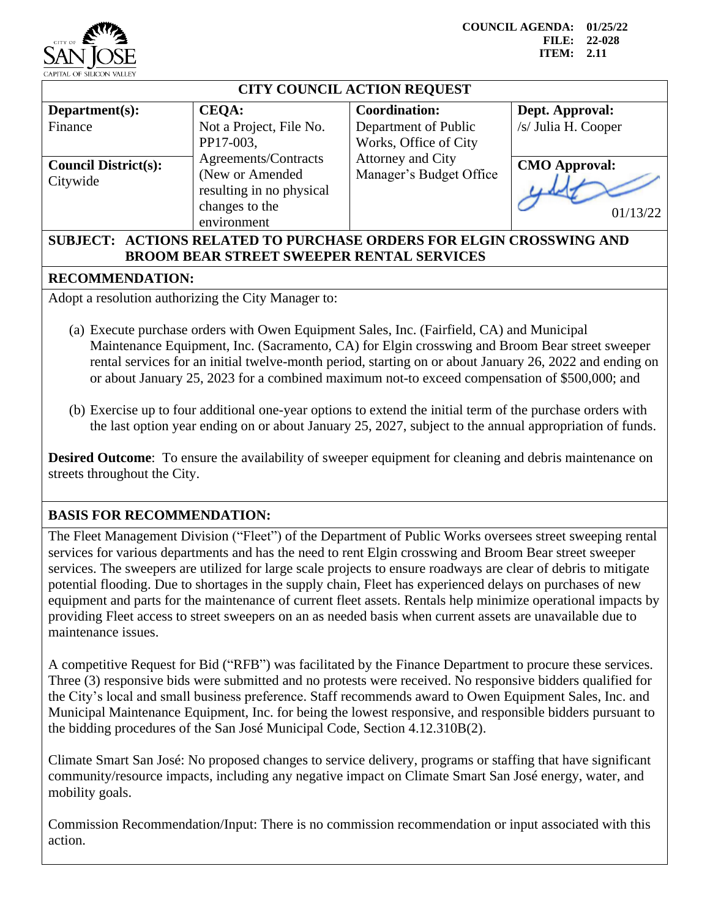

**COUNCIL AGENDA: 01/25/22 FILE: 22-028 ITEM: 2.11**

| <b>CITY COUNCIL ACTION REQUEST</b>      |                                                                                                       |                                                                       |                                        |
|-----------------------------------------|-------------------------------------------------------------------------------------------------------|-----------------------------------------------------------------------|----------------------------------------|
| Department(s):<br>Finance               | <b>CEQA:</b><br>Not a Project, File No.<br>PP17-003,                                                  | <b>Coordination:</b><br>Department of Public<br>Works, Office of City | Dept. Approval:<br>/s/ Julia H. Cooper |
| <b>Council District(s):</b><br>Citywide | Agreements/Contracts<br>(New or Amended)<br>resulting in no physical<br>changes to the<br>environment | Attorney and City<br>Manager's Budget Office                          | <b>CMO Approval:</b><br>01/13/22       |
| $\alpha$ in the $\alpha$ in $\alpha$    |                                                                                                       |                                                                       |                                        |

## **SUBJECT: ACTIONS RELATED TO PURCHASE ORDERS FOR ELGIN CROSSWING AND BROOM BEAR STREET SWEEPER RENTAL SERVICES**

## **RECOMMENDATION:**

Adopt a resolution authorizing the City Manager to:

- (a) Execute purchase orders with Owen Equipment Sales, Inc. (Fairfield, CA) and Municipal Maintenance Equipment, Inc. (Sacramento, CA) for Elgin crosswing and Broom Bear street sweeper rental services for an initial twelve-month period, starting on or about January 26, 2022 and ending on or about January 25, 2023 for a combined maximum not-to exceed compensation of \$500,000; and
- (b) Exercise up to four additional one-year options to extend the initial term of the purchase orders with the last option year ending on or about January 25, 2027, subject to the annual appropriation of funds.

**Desired Outcome:** To ensure the availability of sweeper equipment for cleaning and debris maintenance on streets throughout the City.

## **BASIS FOR RECOMMENDATION:**

The Fleet Management Division ("Fleet") of the Department of Public Works oversees street sweeping rental services for various departments and has the need to rent Elgin crosswing and Broom Bear street sweeper services. The sweepers are utilized for large scale projects to ensure roadways are clear of debris to mitigate potential flooding. Due to shortages in the supply chain, Fleet has experienced delays on purchases of new equipment and parts for the maintenance of current fleet assets. Rentals help minimize operational impacts by providing Fleet access to street sweepers on an as needed basis when current assets are unavailable due to maintenance issues.

A competitive Request for Bid ("RFB") was facilitated by the Finance Department to procure these services. Three (3) responsive bids were submitted and no protests were received. No responsive bidders qualified for the City's local and small business preference. Staff recommends award to Owen Equipment Sales, Inc. and Municipal Maintenance Equipment, Inc. for being the lowest responsive, and responsible bidders pursuant to the bidding procedures of the San José Municipal Code, Section 4.12.310B(2).

Climate Smart San José: No proposed changes to service delivery, programs or staffing that have significant community/resource impacts, including any negative impact on Climate Smart San José energy, water, and mobility goals.

Commission Recommendation/Input: There is no commission recommendation or input associated with this action.